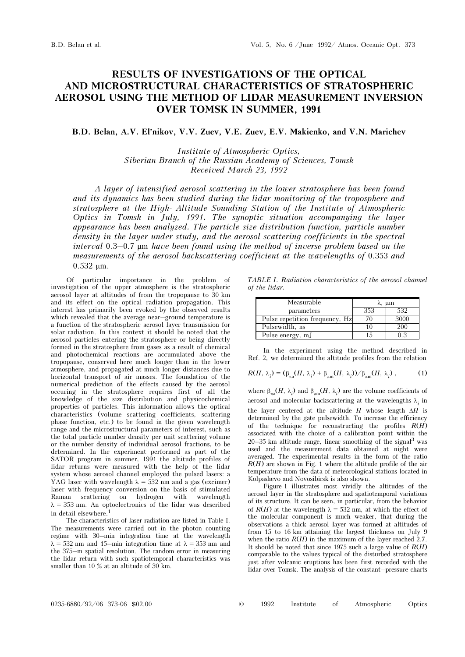## RESULTS OF INVESTIGATIONS OF THE OPTICAL AND MICROSTRUCTURAL CHARACTERISTICS OF STRATOSPHERIC AEROSOL USING THE METHOD OF LIDAR MEASUREMENT INVERSION OVER TOMSK IN SUMMER, 1991

## B.D. Belan, A.V. El'nikov, V.V. Zuev, V.E. Zuev, E.V. Makienko, and V.N. Marichev

Institute of Atmospheric Optics, Siberian Branch of the Russian Academy of Sciences, Tomsk Received March 23, 1992

A layer of intensified aerosol scattering in the lower stratosphere has been found and its dynamics has been studied during the lidar monitoring of the troposphere and stratosphere at the High- Altitude Sounding Station of the Institute of Atmospheric Optics in Tomsk in July, 1991. The synoptic situation accompanying the layer appearance has been analyzed. The particle size distribution function, particle number density in the layer under study, and the aerosol scattering coefficients in the spectral interval 0.3–0.7 μm have been found using the method of inverse problem based on the measurements of the aerosol backscattering coefficient at the wavelengths of 0.353 and 0.532 μm.

Of particular importance in the problem of investigation of the upper atmosphere is the stratospheric aerosol layer at altitudes of from the tropopause to 30 km and its effect on the optical radiation propagation. This interest has primarily been evoked by the observed results which revealed that the average near–ground temperature is a function of the stratospheric aerosol layer transmission for solar radiation. In this context it should be noted that the aerosol particles entering the stratosphere or being directly formed in the stratosphere from gases as a result of chemical and photochemical reactions are accumulated above the tropopause, conserved here much longer than in the lower atmosphere, and propagated at much longer distances due to horizontal transport of air masses. The foundation of the numerical prediction of the effects caused by the aerosol occuring in the stratosphere requires first of all the knowledge of the size distribution and physicochemical properties of particles. This information allows the optical characteristics (volume scattering coefficients, scattering phase function, etc.) to be found in the given wavelength range and the microstructural parameters of interest, such as the total particle number density per unit scattering volume or the number density of individual aerosol fractions, to be determined. In the experiment performed as part of the SATOR program in summer, 1991 the altitude profiles of lidar returns were measured with the help of the lidar system whose aerosol channel employed the pulsed lasers: a YAG laser with wavelength  $\lambda = 532$  nm and a gas (excimer) laser with frequency conversion on the basis of stimulated Raman scattering on hydrogen with wavelength  $\lambda = 353$  nm. An optoelectronics of the lidar was described in detail elsewhere.<sup>1</sup>

The characteristics of laser radiation are listed in Table I. The measurements were carried out in the photon counting regime with 30–min integration time at the wavelength  $\lambda = 532$  nm and 15-min integration time at  $\lambda = 353$  nm and the 375–m spatial resolution. The random error in measuring the lidar return with such spatiotemporal characteristics was smaller than 10 % at an altitude of 30 km.

TABLE I. Radiation characteristics of the aerosol channel of the lidar.

| Measurable                     | λ, μm |      |
|--------------------------------|-------|------|
| parameters                     | 353   | 532  |
| Pulse repetition frequency, Hz | 70    | 3000 |
| Pulsewidth, ns                 | 10    | 200  |
| Pulse energy, mJ               | 15    | 0.3  |

In the experiment using the method described in Ref. 2, we determined the altitude profiles from the relation

$$
R(H, \lambda_i) = (\beta_{\pi a}(H, \lambda_i) + \beta_{\pi m}(H, \lambda_i))/\beta_{\pi m}(H, \lambda_i) ,
$$
 (1)

where  $\beta_{\text{max}}(H, \lambda_i)$  and  $\beta_{\text{min}}(H, \lambda_i)$  are the volume coefficients of aerosol and molecular backscattering at the wavelengths  $\lambda_i$  in the layer centered at the altitude  $H$  whose length  $\Delta H$  is determined by the gate pulsewidth. To increase the efficiency of the technique for reconstructing the profiles  $R(H)$ associated with the choice of a calibration point within the  $20-35$  km altitude range, linear smoothing of the signal<sup>3</sup> was used and the measurement data obtained at night were averaged. The experimental results in the form of the ratio  $R(H)$  are shown in Fig. 1 where the altitude profile of the air temperature from the data of meteorological stations located in Kolpashevo and Novosibirsk is also shown.

Figure 1 illustrates most vividly the altitudes of the aerosol layer in the stratosphere and spatiotemporal variations of its structure. It can be seen, in particular, from the behavior of  $R(H)$  at the wavelength  $\lambda = 532$  nm, at which the effect of the molecular component is much weaker, that during the observations a thick aerosol layer was formed at altitudes of from 15 to 16 km attaining the largest thickness on July 9 when the ratio  $R(H)$  in the maximum of the layer reached 2.7. It should be noted that since 1975 such a large value of  $R(H)$ comparable to the values typical of the disturbed stratosphere just after volcanic eruptions has been first recorded with the lidar over Tomsk. The analysis of the constant–pressure charts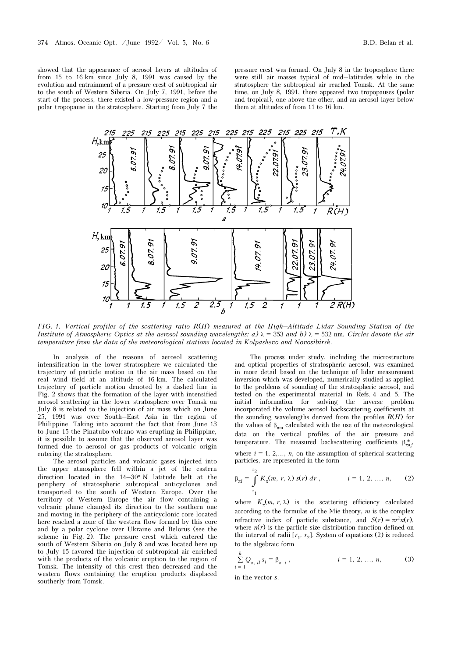showed that the appearance of aerosol layers at altitudes of from 15 to 16 km since July 8, 1991 was caused by the evolution and entrainment of a pressure crest of subtropical air to the south of Western Siberia. On July 7, 1991, before the start of the process, there existed a low-pressure region and a polar tropopause in the stratosphere. Starting from July 7 the

pressure crest was formed. On July 8 in the troposphere there were still air masses typical of mid–latitudes while in the stratosphere the subtropical air reached Tomsk. At the same time, on July 8, 1991, there appeared two tropopauses (polar and tropical), one above the other, and an aerosol layer below them at altitudes of from 11 to 16 km.



FIG. 1. Vertical profiles of the scattering ratio  $R(H)$  measured at the High–Altitude Lidar Sounding Station of the Institute of Atmospheric Optics at the aerosol sounding wavelengths: a)  $\lambda = 353$  and b)  $\lambda = 532$  nm. Circles denote the air temperature from the data of the meteorological stations located in Kolpashevo and Novosibirsk.

In analysis of the reasons of aerosol scattering intensification in the lower stratosphere we calculated the trajectory of particle motion in the air mass based on the real wind field at an altitude of 16 km. The calculated trajectory of particle motion denoted by a dashed line in Fig. 2 shows that the formation of the layer with intensified aerosol scattering in the lower stratosphere over Tomsk on July 8 is related to the injection of air mass which on June 25, 1991 was over South–East Asia in the region of Philippine. Taking into account the fact that from June 13 to June 15 the Pinatubo volcano was erupting in Philippine, it is possible to assume that the observed aerosol layer was formed due to aerosol or gas products of volcanic origin entering the stratosphere.

The aerosol particles and volcanic gases injected into the upper atmosphere fell within a jet of the eastern direction located in the 14–30° N latitude belt at the periphery of stratospheric subtropical anticyclones and transported to the south of Western Europe. Over the territory of Western Europe the air flow containing a volcanic plume changed its direction to the southern one and moving in the periphery of the anticyclonic core located here reached a zone of the western flow formed by this core and by a polar cyclone over Ukraine and Belorus (see the scheme in Fig. 2). The pressure crest which entered the south of Western Siberia on July 8 and was located here up to July 15 favored the injection of subtropical air enriched with the products of the volcanic eruption to the region of Tomsk. The intensity of this crest then decreased and the western flows containing the eruption products displaced southerly from Tomsk.

The process under study, including the microstructure and optical properties of stratospheric aerosol, was examined in more detail based on the technique of lidar measurement inversion which was developed, numerically studied as applied to the problems of sounding of the stratospheric aerosol, and tested on the experimental material in Refs. 4 and 5. The initial information for solving the inverse problem incorporated the volume aerosol backscattering coefficients at the sounding wavelengths derived from the profiles  $R(H)$  for the values of  $\beta_{\pi m}$  calculated with the use of the meteorological data on the vertical profiles of the air pressure and temperature. The measured backscattering coefficients  $\beta_{\pi a_i}^*$ , where  $i = 1, 2, \ldots, n$ , on the assumption of spherical scattering particles, are represented in the form

$$
\beta_{\pi i} = \int_{r_1}^{r_2} K_{\pi}(m, r, \lambda) s(r) dr , \qquad i = 1, 2, ..., n, \qquad (2)
$$

where  $K_{\pi}(m, r, \lambda)$  is the scattering efficiency calculated according to the formulas of the Mie theory,  $m$  is the complex refractive index of particle substance, and  $S(r) = \pi r^2 n(r)$ , where  $n(r)$  is the particle size distribution function defined on the interval of radii  $[r_1, r_2]$ . System of equations (2) is reduced to the algebraic form

$$
\sum_{i=1}^{k} Q_{\pi, i l} s_l = \beta_{\pi, i} , \qquad i = 1, 2, ..., n,
$$
 (3)

in the vector s.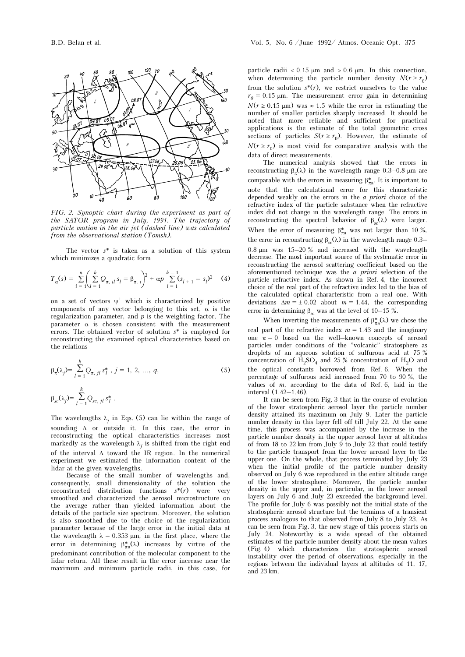

FIG. 2. Synoptic chart during the experiment as part of the SATOR program in July, 1991. The trajectory of particle motion in the air jet (dashed line) was calculated from the observational station (Tomsk).

The vector  $s^*$  is taken as a solution of this system which minimizes a quadratic form

$$
T_{\alpha}(s) = \sum_{i=1}^{n} \left( \sum_{l=1}^{k} Q_{\pi, il} s_l = \beta_{\pi, i} \right)^2 + \alpha p \sum_{l=1}^{k-1} (s_{l+1} - s_l)^2 \quad (4)
$$

on a set of vectors  $\psi^+$  which is characterized by positive components of any vector belonging to this set,  $\alpha$  is the regularization parameter, and  $p$  is the weighting factor. The parameter  $\alpha$  is chosen consistent with the measurement errors. The obtained vector of solution s\* is employed for reconstructing the examined optical characteristics based on the relations

$$
\beta_{\pi}(\lambda_j) = \sum_{l=1}^{k} Q_{\pi, \; il} s_l^*, \; j = 1, \; 2, \; \dots, \; q,\tag{5}
$$

$$
\beta_{sc}(\lambda_j) = \sum_{l=1}^k Q_{sc, \, il} s_l^*.
$$

The wavelengths  $\lambda_j$  in Eqs. (5) can lie within the range of sounding Λ or outside it. In this case, the error in reconstructing the optical characteristics increases most markedly as the wavelength  $\lambda_j$  is shifted from the right end of the interval Λ toward the IR region. In the numerical experiment we estimated the information content of the lidar at the given wavelengths.

Because of the small number of wavelengths and, consequently, small dimensionality of the solution the reconstructed distribution functions  $s^*(r)$  were very smoothed and characterized the aerosol microstructure on the average rather than yielded information about the details of the particle size spectrum. Moreover, the solution is also smoothed due to the choice of the regularization parameter because of the large error in the initial data at the wavelength  $\lambda = 0.353 \mu m$ , in the first place, where the error in determining  $\beta_{\pi a}^*(\lambda)$  increases by virtue of the predominant contribution of the molecular component to the lidar return. All these result in the error increase near the maximum and minimum particle radii, in this case, for

particle radii  $< 0.15 \mu m$  and  $> 0.6 \mu m$ . In this connection, when determining the particle number density  $N(r \ge r_0)$ from the solution  $s^*(r)$ , we restrict ourselves to the value  $r_0 = 0.15$  μm. The measurement error gain in determining  $N(r \ge 0.15 \text{ }\mu\text{m})$  was  $\approx 1.5$  while the error in estimating the number of smaller particles sharply increased. It should be noted that more reliable and sufficient for practical applications is the estimate of the total geometric cross sections of particles  $S(r \ge r_0)$ . However, the estimate of  $N(r \ge r_0)$  is most vivid for comparative analysis with the data of direct measurements.

The numerical analysis showed that the errors in reconstructing  $β<sub>x</sub>(λ)$  in the wavelength range 0.3–0.8 μm are comparable with the errors in measuring  $\beta_{\pi a}^*$ . It is important to note that the calculational error for this characteristic depended weakly on the errors in the a priori choice of the refractive index of the particle substance when the refractive index did not change in the wavelength range. The errors in reconstructing the spectral behavior of  $β<sub>sc</sub>(λ)$  were larger. When the error of measuring  $\beta_{\pi a}^*$  was not larger than 10 %, the error in reconstructing  $β<sub>sc</sub>(λ)$  in the wavelength range 0.3–  $0.8 \mu m$  was 15–20 % and increased with the wavelength decrease. The most important source of the systematic error in reconstructing the aerosol scattering coefficient based on the aforementioned technique was the a priori selection of the particle refractive index. As shown in Ref. 4, the incorrect choice of the real part of the refractive index led to the bias of the calculated optical characteristic from a real one. With deviations  $\Delta m = \pm 0.02$  about  $m = 1.44$ , the corresponding error in determining  $\beta_{\rm sc}$  was at the level of 10–15 %.

When inverting the measurements of  $\beta_{\pi a}^*(\lambda)$  we chose the real part of the refractive index  $m = 1.43$  and the imaginary one  $\kappa = 0$  based on the well–known concepts of aerosol particles under conditions of the "volcanic" stratosphere as droplets of an aqueous solution of sulfurous acid at 75 % concentration of  $H_2SO_4$  and 25 % concentration of  $H_2O$  and the optical constants borrowed from Ref. 6. When the percentage of sulfurous acid increased from 70 to 90 %, the values of  $m$ , according to the data of Ref. 6, laid in the interval (1.42–1.46).

It can be seen from Fig. 3 that in the course of evolution of the lower stratospheric aerosol layer the particle number density attained its maximum on July 9. Later the particle number density in this layer fell off till July 22. At the same time, this process was accompanied by the increase in the particle number density in the upper aerosol layer at altitudes of from 18 to 22 km from July 9 to July 22 that could testify to the particle transport from the lower aerosol layer to the upper one. On the whole, that process terminated by July 23 when the initial profile of the particle number density observed on July 6 was reproduced in the entire altitude range of the lower stratosphere. Moreover, the particle number density in the upper and, in particular, in the lower aerosol layers on July 6 and July 23 exceeded the background level. The profile for July 6 was possibly not the initial state of the stratospheric aerosol structure but the terminus of a transient process analogous to that observed from July 8 to July 23. As can be seen from Fig. 3, the new stage of this process starts on July 24. Noteworthy is a wide spread of the obtained estimates of the particle number density about the mean values (Fig. 4) which characterizes the stratospheric aerosol instability over the period of observations, especially in the regions between the individual layers at altitudes of 11, 17, and 23 km.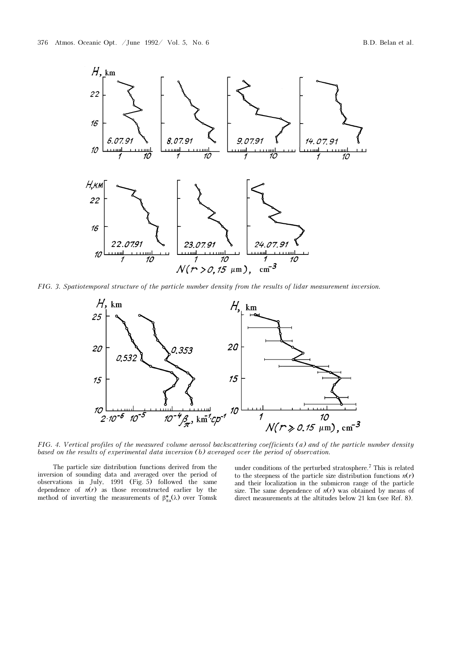

FIG. 3. Spatiotemporal structure of the particle number density from the results of lidar measurement inversion.



FIG. 4. Vertical profiles of the measured volume aerosol backscattering coefficients (a) and of the particle number density based on the results of experimental data inversion (b) averaged over the period of observation.

The particle size distribution functions derived from the inversion of sounding data and averaged over the period of observations in July, 1991 (Fig. 5) followed the same dependence of  $n(r)$  as those reconstructed earlier by the method of inverting the measurements of  $\beta_{\pi a}^*(\lambda)$  over Tomsk under conditions of the perturbed stratosphere.7 This is related to the steepness of the particle size distribution functions  $n(r)$ and their localization in the submicron range of the particle size. The same dependence of  $n(r)$  was obtained by means of direct measurements at the altitudes below 21 km (see Ref. 8).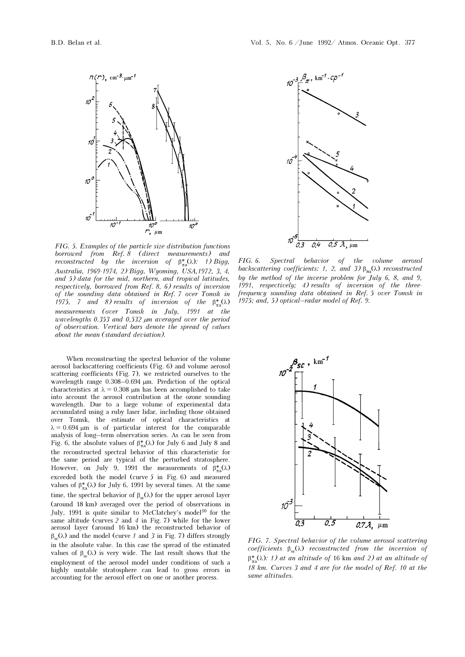

FIG. 5. Examples of the particle size distribution functions borrowed from Ref. 8 (direct measurements) and *reconstructed by the inversion of*  $\beta_{\pi a}^*(\lambda)$ : 1) Bigg, Australia, 1969-1974, 2) Bigg, Wyoming, USA,1972, 3, 4, and 5) data for the mid, northern, and tropical latitudes, respectively, borrowed from Ref. 8, 6) results of inversion of the sounding data obtained in Ref. 7 over Tomsk in 1975, 7 and 8) results of inversion of the  $\beta_{\pi a}^*(\lambda)$ measurements (over Tomsk in July, 1991 at the wavelengths 0.353 and 0,532 µm averaged over the period of observation. Vertical bars denote the spread of values about the mean (standard deviation).

When reconstructing the spectral behavior of the volume aerosol backscattering coefficients (Fig. 6) and volume aerosol scattering coefficients (Fig. 7), we restricted ourselves to the wavelength range 0.308–0.694 μm. Prediction of the optical characteristics at  $\lambda = 0.308$  μm has been accomplished to take into account the aerosol contribution at the ozone sounding wavelength. Due to a large volume of experimental data accumulated using a ruby laser lidar, including those obtained over Tomsk, the estimate of optical characteristics at  $\lambda = 0.694$  μm is of particular interest for the comparable analysis of long–term observation series. As can be seen from Fig. 6, the absolute values of  $\beta_{\pi a}^*(\lambda)$  for July 6 and July 8 and the reconstructed spectral behavior of this characteristic for the same period are typical of the perturbed stratosphere. However, on July 9, 1991 the measurements of  $\beta_{\pi a}^*(\lambda)$ exceeded both the model (curve 5 in Fig. 6) and measured values of  $β_{\pi a}^*(λ)$  for July 6, 1991 by several times. At the same time, the spectral behavior of  $\beta_{\rm sc}(\lambda)$  for the upper aerosol layer (around 18 km) averaged over the period of observations in July, 1991 is quite similar to McClatchey's model<sup>10</sup> for the same altitude (curves 2 and 4 in Fig. 7) while for the lower aerosol layer (around 16 km) the reconstructed behavior of  $β<sub>sc</sub>(λ)$  and the model (curve 1 and 3 in Fig. 7) differs strongly in the absolute value. In this case the spread of the estimated values of  $β<sub>ss</sub>(λ)$  is very wide. The last result shows that the employment of the aerosol model under conditions of such a highly unstable stratosphere can lead to gross errors in accounting for the aerosol effect on one or another process.



FIG. 6. Spectral behavior of the volume aerosol backscattering coefficients: 1, 2, and 3)  $\beta_{\pi\alpha}(\lambda)$  reconstructed by the method of the inverse problem for July 6, 8, and 9, 1991, respectively; 4) results of inversion of the threefrequency sounding data obtained in Ref. 5 over Tomsk in 1975; and, 5) optical–radar model of Ref. 9.



FIG. 7. Spectral behavior of the volume aerosol scattering coefficients  $\beta_{sc}(\lambda)$  reconstructed from the inversion of  $β^*_{\pi a}(\lambda)$ : 1) at an altitude of 16 km and 2) at an altitude of 18 km. Curves 3 and 4 are for the model of Ref. 10 at the same altitudes.